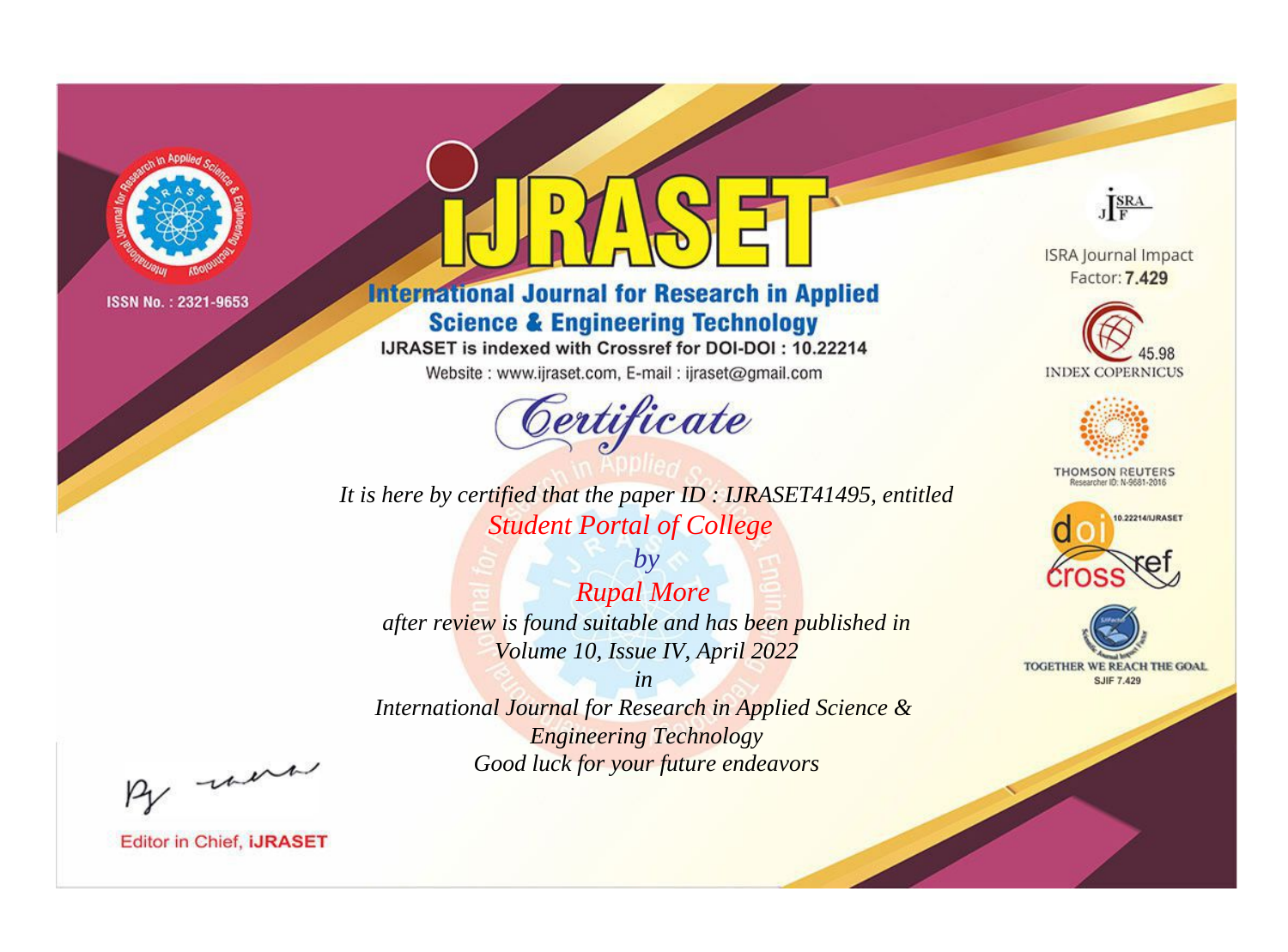

# **International Journal for Research in Applied Science & Engineering Technology**

IJRASET is indexed with Crossref for DOI-DOI: 10.22214

Website: www.ijraset.com, E-mail: ijraset@gmail.com



**ISRA Journal Impact** Factor: 7.429

JERA





**THOMSON REUTERS** 



TOGETHER WE REACH THE GOAL **SJIF 7.429** 

*It is here by certified that the paper ID : IJRASET41495, entitled Student Portal of College*

*by Rupal More after review is found suitable and has been published in Volume 10, Issue IV, April 2022*

*in* 

*International Journal for Research in Applied Science & Engineering Technology Good luck for your future endeavors*

By morn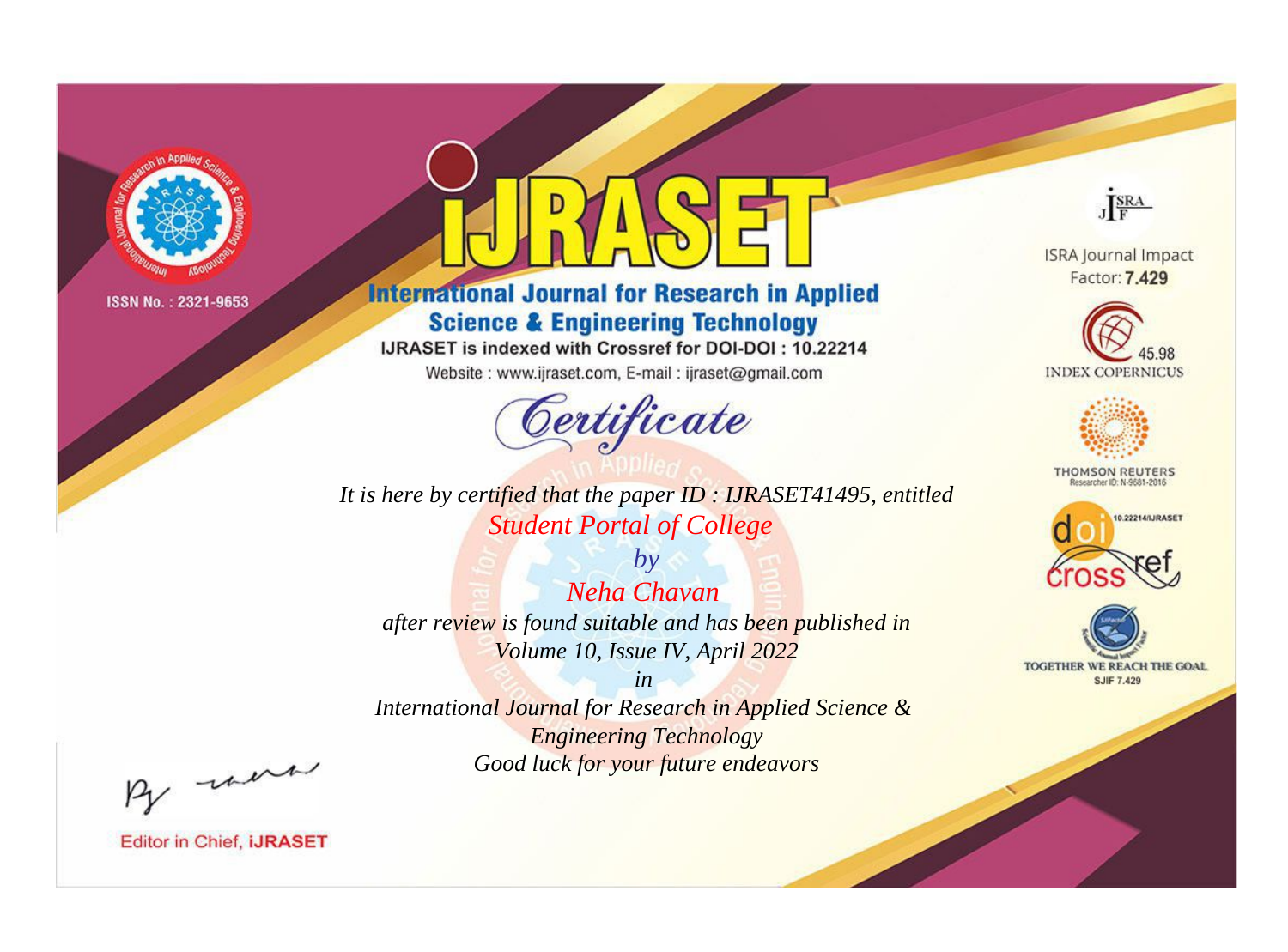

# **International Journal for Research in Applied Science & Engineering Technology**

IJRASET is indexed with Crossref for DOI-DOI: 10.22214

Website: www.ijraset.com, E-mail: ijraset@gmail.com



*It is here by certified that the paper ID : IJRASET41495, entitled Student Portal of College*

*by Neha Chavan after review is found suitable and has been published in Volume 10, Issue IV, April 2022*

*in International Journal for Research in Applied Science & Engineering Technology Good luck for your future endeavors*



**ISRA Journal Impact** Factor: 7.429





**THOMSON REUTERS** 





By morn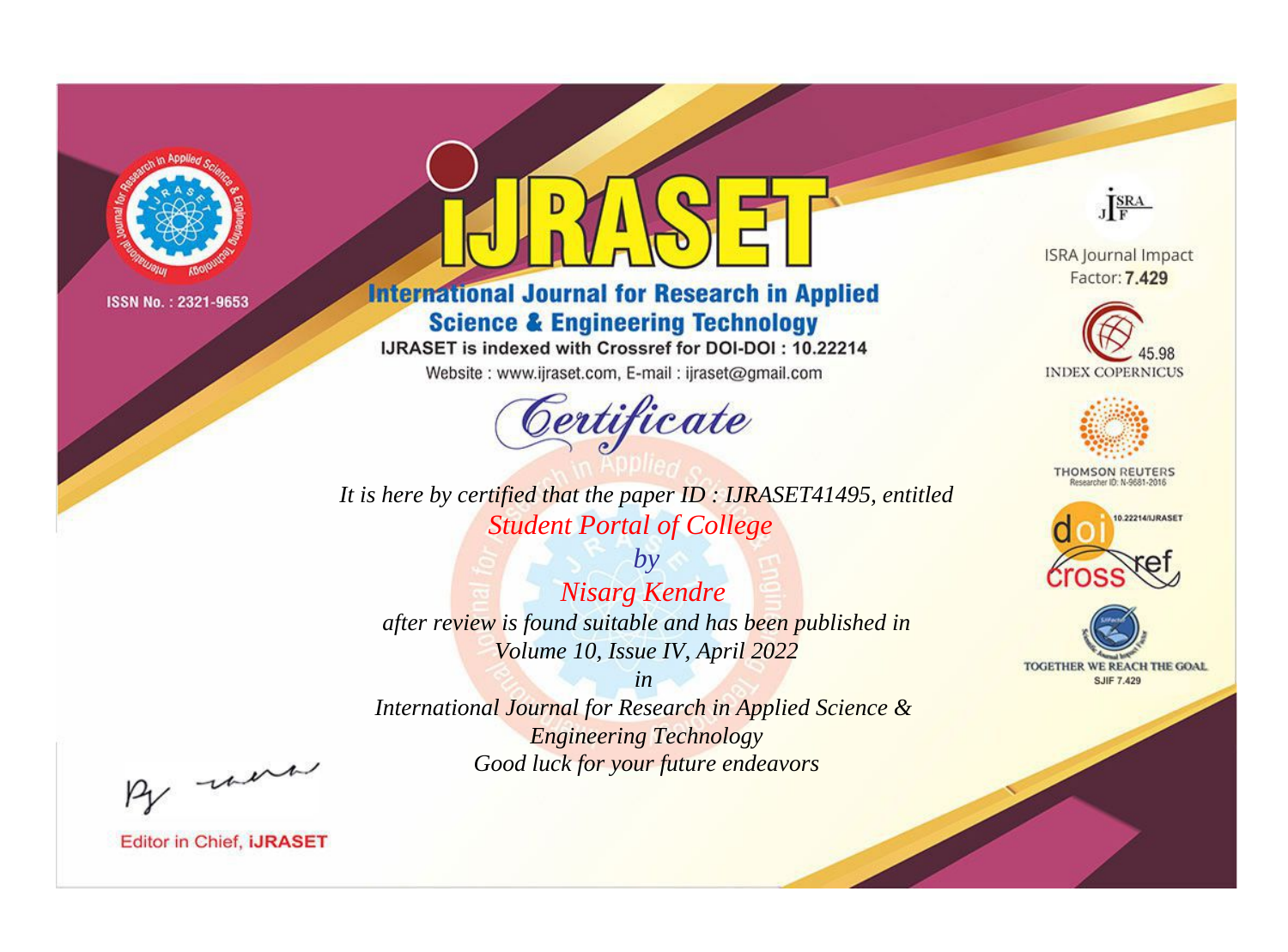

# **International Journal for Research in Applied Science & Engineering Technology**

IJRASET is indexed with Crossref for DOI-DOI: 10.22214

Website: www.ijraset.com, E-mail: ijraset@gmail.com



It is here by certified that the paper ID: IJRASET41495, entitled **Student Portal of College** 

 $by$ **Nisarg Kendre** after review is found suitable and has been published in Volume 10, Issue IV, April 2022

 $in$ International Journal for Research in Applied Science & **Engineering Technology** Good luck for your future endeavors



**ISRA Journal Impact** Factor: 7.429





**THOMSON REUTERS** 



TOGETHER WE REACH THE GOAL **SJIF 7.429** 

By morn